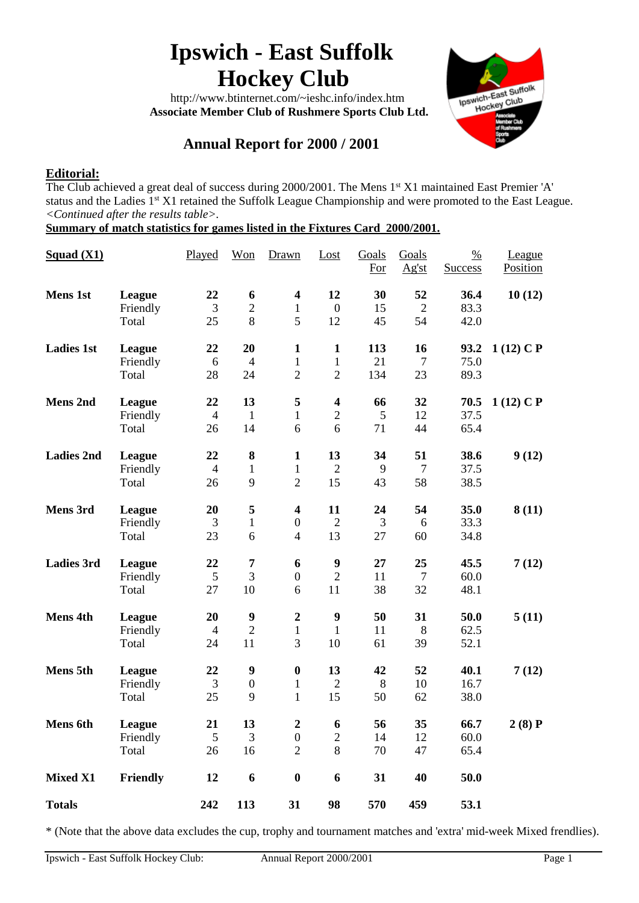# **Ipswich - East Suffolk Hockey Club**

 http://www.btinternet.com/~ieshc.info/index.htm  **Associate Member Club of Rushmere Sports Club Ltd.**



## **Annual Report for 2000 / 2001**

## **Editorial:**

The Club achieved a great deal of success during 2000/2001. The Mens 1<sup>st</sup> X1 maintained East Premier 'A' status and the Ladies 1<sup>st</sup> X1 retained the Suffolk League Championship and were promoted to the East League. *<Continued after the results table>.*

**Summary of match statistics for games listed in the Fixtures Card 2000/2001.**

| Squad (X1)        |                                    | Played                     | Won                                      | Drawn                                                         | Lost                                           | Goals<br><b>For</b> | Goals<br>Ag'st             | $\frac{0}{0}$<br><b>Success</b> | League<br><b>Position</b> |
|-------------------|------------------------------------|----------------------------|------------------------------------------|---------------------------------------------------------------|------------------------------------------------|---------------------|----------------------------|---------------------------------|---------------------------|
| <b>Mens 1st</b>   | League<br>Friendly<br>Total        | 22<br>3<br>25              | 6<br>$\overline{c}$<br>8                 | $\overline{\mathbf{4}}$<br>$\mathbf{1}$<br>5                  | 12<br>$\overline{0}$<br>12                     | 30<br>15<br>45      | 52<br>$\overline{2}$<br>54 | 36.4<br>83.3<br>42.0            | 10(12)                    |
| <b>Ladies 1st</b> | League<br>Friendly<br>Total        | 22<br>6<br>28              | 20<br>$\overline{4}$<br>24               | $\mathbf{1}$<br>$\mathbf{1}$<br>$\overline{2}$                | $\mathbf{1}$<br>$\mathbf{1}$<br>$\overline{2}$ | 113<br>21<br>134    | 16<br>$\overline{7}$<br>23 | 93.2<br>75.0<br>89.3            | $1(12)$ C P               |
| <b>Mens 2nd</b>   | League<br>Friendly<br>Total        | 22<br>$\overline{4}$<br>26 | 13<br>$\mathbf{1}$<br>14                 | $\overline{\mathbf{5}}$<br>$\mathbf{1}$<br>6                  | $\overline{\mathbf{4}}$<br>$\mathbf{2}$<br>6   | 66<br>5<br>71       | 32<br>12<br>44             | 70.5<br>37.5<br>65.4            | $1(12)$ C P               |
| <b>Ladies 2nd</b> | League<br>Friendly<br>Total        | 22<br>$\overline{4}$<br>26 | $\bf{8}$<br>$\mathbf{1}$<br>9            | $\mathbf{1}$<br>$\mathbf{1}$<br>$\overline{2}$                | 13<br>$\overline{2}$<br>15                     | 34<br>9<br>43       | 51<br>$\overline{7}$<br>58 | 38.6<br>37.5<br>38.5            | 9(12)                     |
| Mens 3rd          | League<br>Friendly<br>Total        | 20<br>3<br>23              | 5<br>$\mathbf{1}$<br>6                   | $\overline{\mathbf{4}}$<br>$\boldsymbol{0}$<br>$\overline{4}$ | 11<br>$\overline{2}$<br>13                     | 24<br>3<br>27       | 54<br>6<br>60              | 35.0<br>33.3<br>34.8            | 8(11)                     |
| <b>Ladies 3rd</b> | League<br>Friendly<br>Total        | 22<br>5<br>27              | 7<br>3<br>10                             | 6<br>$\boldsymbol{0}$<br>6                                    | $\boldsymbol{9}$<br>$\overline{2}$<br>11       | 27<br>11<br>38      | 25<br>$\overline{7}$<br>32 | 45.5<br>60.0<br>48.1            | 7(12)                     |
| <b>Mens 4th</b>   | League<br>Friendly<br>Total        | 20<br>$\overline{4}$<br>24 | $\boldsymbol{9}$<br>$\overline{2}$<br>11 | $\boldsymbol{2}$<br>$\mathbf{1}$<br>3                         | $\boldsymbol{9}$<br>$\mathbf{1}$<br>10         | 50<br>11<br>61      | 31<br>8<br>39              | 50.0<br>62.5<br>52.1            | 5(11)                     |
| <b>Mens 5th</b>   | League<br>Friendly<br>Total        | 22<br>3<br>25              | 9<br>$\boldsymbol{0}$<br>9               | $\boldsymbol{0}$<br>$\mathbf{1}$<br>$\mathbf{1}$              | 13<br>$\mathfrak{2}$<br>15                     | 42<br>8<br>50       | 52<br>10<br>62             | 40.1<br>16.7<br>38.0            | 7(12)                     |
| <b>Mens</b> 6th   | <b>League</b><br>Friendly<br>Total | 21<br>5<br>26              | 13<br>3<br>16                            | $\boldsymbol{2}$<br>$\boldsymbol{0}$<br>$\sqrt{2}$            | 6<br>$\mathbf{2}$<br>$8\,$                     | 56<br>14<br>70      | 35<br>12<br>47             | 66.7<br>60.0<br>65.4            | 2(8)P                     |
| <b>Mixed X1</b>   | Friendly                           | 12                         | 6                                        | $\boldsymbol{0}$                                              | 6                                              | 31                  | 40                         | 50.0                            |                           |
| <b>Totals</b>     |                                    | 242                        | 113                                      | 31                                                            | 98                                             | 570                 | 459                        | 53.1                            |                           |

\* (Note that the above data excludes the cup, trophy and tournament matches and 'extra' mid-week Mixed frendlies).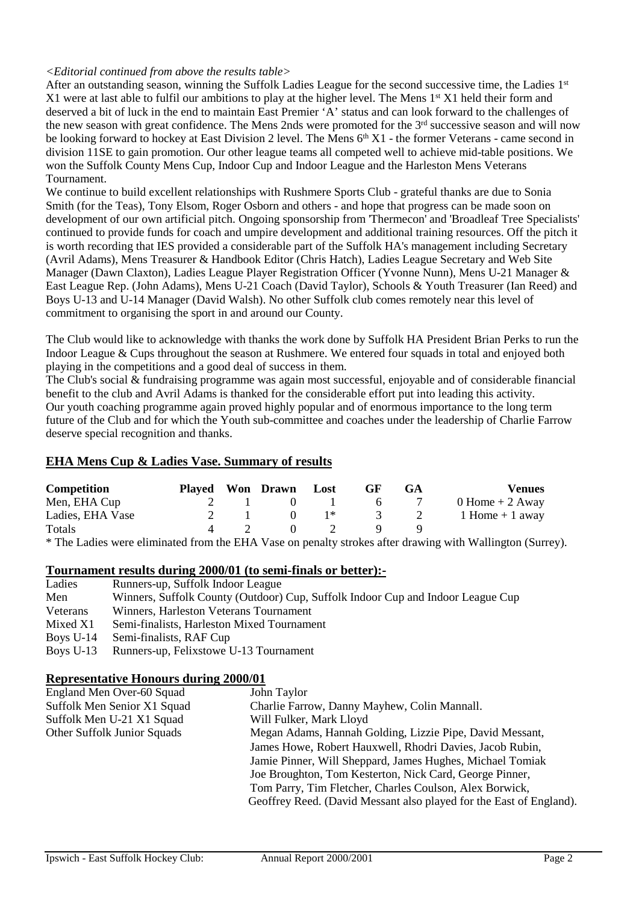#### *<Editorial continued from above the results table>*

After an outstanding season, winning the Suffolk Ladies League for the second successive time, the Ladies 1<sup>st</sup> X1 were at last able to fulfil our ambitions to play at the higher level. The Mens 1<sup>st</sup> X1 held their form and deserved a bit of luck in the end to maintain East Premier 'A' status and can look forward to the challenges of the new season with great confidence. The Mens 2nds were promoted for the  $3<sup>rd</sup>$  successive season and will now be looking forward to hockey at East Division 2 level. The Mens  $6<sup>th</sup> X1$  - the former Veterans - came second in division 11SE to gain promotion. Our other league teams all competed well to achieve mid-table positions. We won the Suffolk County Mens Cup, Indoor Cup and Indoor League and the Harleston Mens Veterans Tournament.

We continue to build excellent relationships with Rushmere Sports Club - grateful thanks are due to Sonia Smith (for the Teas), Tony Elsom, Roger Osborn and others - and hope that progress can be made soon on development of our own artificial pitch. Ongoing sponsorship from 'Thermecon' and 'Broadleaf Tree Specialists' continued to provide funds for coach and umpire development and additional training resources. Off the pitch it is worth recording that IES provided a considerable part of the Suffolk HA's management including Secretary (Avril Adams), Mens Treasurer & Handbook Editor (Chris Hatch), Ladies League Secretary and Web Site Manager (Dawn Claxton), Ladies League Player Registration Officer (Yvonne Nunn), Mens U-21 Manager & East League Rep. (John Adams), Mens U-21 Coach (David Taylor), Schools & Youth Treasurer (Ian Reed) and Boys U-13 and U-14 Manager (David Walsh). No other Suffolk club comes remotely near this level of commitment to organising the sport in and around our County.

The Club would like to acknowledge with thanks the work done by Suffolk HA President Brian Perks to run the Indoor League & Cups throughout the season at Rushmere. We entered four squads in total and enjoyed both playing in the competitions and a good deal of success in them.

The Club's social & fundraising programme was again most successful, enjoyable and of considerable financial benefit to the club and Avril Adams is thanked for the considerable effort put into leading this activity. Our youth coaching programme again proved highly popular and of enormous importance to the long term future of the Club and for which the Youth sub-committee and coaches under the leadership of Charlie Farrow deserve special recognition and thanks.

## **EHA Mens Cup & Ladies Vase. Summary of results**

| Competition      |     | Played Won Drawn Lost |                                        | <b>GF</b> | <b>GA</b>    | <b>Venues</b>      |
|------------------|-----|-----------------------|----------------------------------------|-----------|--------------|--------------------|
| Men, EHA Cup     | 2 1 |                       | $\begin{array}{ccc} 0 & 1 \end{array}$ |           | $6 \sqrt{7}$ | $0$ Home + 2 Away  |
| Ladies, EHA Vase |     |                       | $\mathbb{R}^*$                         |           | 3 2          | $1$ Home $+1$ away |
| Totals           |     |                       | $\mathcal{L}$                          |           |              |                    |
|                  |     |                       |                                        |           |              |                    |

\* The Ladies were eliminated from the EHA Vase on penalty strokes after drawing with Wallington (Surrey).

#### **Tournament results during 2000/01 (to semi-finals or better):-**

| Ladies    | Runners-up, Suffolk Indoor League                                               |
|-----------|---------------------------------------------------------------------------------|
| Men       | Winners, Suffolk County (Outdoor) Cup, Suffolk Indoor Cup and Indoor League Cup |
| Veterans  | Winners, Harleston Veterans Tournament                                          |
| Mixed X1  | Semi-finalists, Harleston Mixed Tournament                                      |
| Boys U-14 | Semi-finalists, RAF Cup                                                         |
| Boys U-13 | Runners-up, Felixstowe U-13 Tournament                                          |

## **Representative Honours during 2000/01**

| England Men Over-60 Squad   | John Taylor                                                         |
|-----------------------------|---------------------------------------------------------------------|
| Suffolk Men Senior X1 Squad | Charlie Farrow, Danny Mayhew, Colin Mannall.                        |
| Suffolk Men U-21 X1 Squad   | Will Fulker, Mark Lloyd                                             |
| Other Suffolk Junior Squads | Megan Adams, Hannah Golding, Lizzie Pipe, David Messant,            |
|                             | James Howe, Robert Hauxwell, Rhodri Davies, Jacob Rubin,            |
|                             | Jamie Pinner, Will Sheppard, James Hughes, Michael Tomiak           |
|                             | Joe Broughton, Tom Kesterton, Nick Card, George Pinner,             |
|                             | Tom Parry, Tim Fletcher, Charles Coulson, Alex Borwick,             |
|                             | Geoffrey Reed. (David Messant also played for the East of England). |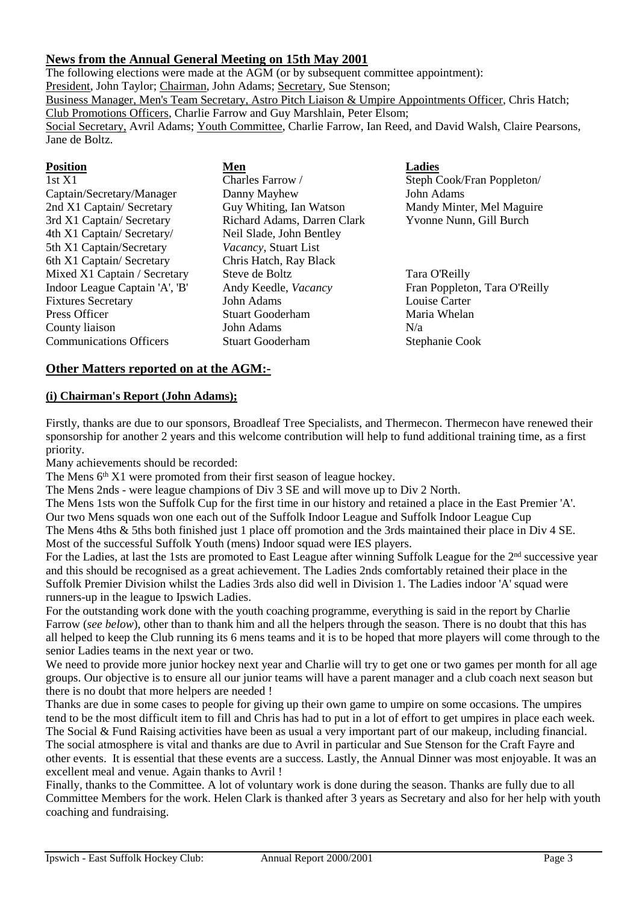## **News from the Annual General Meeting on 15th May 2001**

The following elections were made at the AGM (or by subsequent committee appointment): President, John Taylor; Chairman, John Adams; Secretary, Sue Stenson; Business Manager, Men's Team Secretary, Astro Pitch Liaison & Umpire Appointments Officer, Chris Hatch; Club Promotions Officers, Charlie Farrow and Guy Marshlain, Peter Elsom; Social Secretary, Avril Adams; Youth Committee, Charlie Farrow, Ian Reed, and David Walsh, Claire Pearsons, Jane de Boltz.

| <b>Position</b>                | Men                         | <b>Ladies</b>                 |
|--------------------------------|-----------------------------|-------------------------------|
| 1st X1                         | Charles Farrow /            | Steph Cook/Fran Poppleton/    |
| Captain/Secretary/Manager      | Danny Mayhew                | John Adams                    |
| 2nd X1 Captain/ Secretary      | Guy Whiting, Ian Watson     | Mandy Minter, Mel Maguire     |
| 3rd X1 Captain/Secretary       | Richard Adams, Darren Clark | Yvonne Nunn, Gill Burch       |
| 4th X1 Captain/ Secretary/     | Neil Slade, John Bentley    |                               |
| 5th X1 Captain/Secretary       | Vacancy, Stuart List        |                               |
| 6th X1 Captain/Secretary       | Chris Hatch, Ray Black      |                               |
| Mixed X1 Captain / Secretary   | Steve de Boltz              | Tara O'Reilly                 |
| Indoor League Captain 'A', 'B' | Andy Keedle, Vacancy        | Fran Poppleton, Tara O'Reilly |
| <b>Fixtures Secretary</b>      | John Adams                  | Louise Carter                 |
| Press Officer                  | <b>Stuart Gooderham</b>     | Maria Whelan                  |
| County liaison                 | John Adams                  | N/a                           |
| <b>Communications Officers</b> | Stuart Gooderham            | Stephanie Cook                |

#### **Other Matters reported on at the AGM:-**

## **(i) Chairman's Report (John Adams);**

Firstly, thanks are due to our sponsors, Broadleaf Tree Specialists, and Thermecon. Thermecon have renewed their sponsorship for another 2 years and this welcome contribution will help to fund additional training time, as a first priority.

Many achievements should be recorded:

The Mens 6<sup>th</sup> X1 were promoted from their first season of league hockey.

The Mens 2nds - were league champions of Div 3 SE and will move up to Div 2 North.

The Mens 1sts won the Suffolk Cup for the first time in our history and retained a place in the East Premier 'A'. Our two Mens squads won one each out of the Suffolk Indoor League and Suffolk Indoor League Cup The Mens 4ths & 5ths both finished just 1 place off promotion and the 3rds maintained their place in Div 4 SE. Most of the successful Suffolk Youth (mens) Indoor squad were IES players.

For the Ladies, at last the 1sts are promoted to East League after winning Suffolk League for the 2<sup>nd</sup> successive year and this should be recognised as a great achievement. The Ladies 2nds comfortably retained their place in the Suffolk Premier Division whilst the Ladies 3rds also did well in Division 1. The Ladies indoor 'A' squad were runners-up in the league to Ipswich Ladies.

For the outstanding work done with the youth coaching programme, everything is said in the report by Charlie Farrow (*see below*), other than to thank him and all the helpers through the season. There is no doubt that this has all helped to keep the Club running its 6 mens teams and it is to be hoped that more players will come through to the senior Ladies teams in the next year or two.

We need to provide more junior hockey next year and Charlie will try to get one or two games per month for all age groups. Our objective is to ensure all our junior teams will have a parent manager and a club coach next season but there is no doubt that more helpers are needed !

Thanks are due in some cases to people for giving up their own game to umpire on some occasions. The umpires tend to be the most difficult item to fill and Chris has had to put in a lot of effort to get umpires in place each week. The Social & Fund Raising activities have been as usual a very important part of our makeup, including financial. The social atmosphere is vital and thanks are due to Avril in particular and Sue Stenson for the Craft Fayre and other events. It is essential that these events are a success. Lastly, the Annual Dinner was most enjoyable. It was an excellent meal and venue. Again thanks to Avril !

Finally, thanks to the Committee. A lot of voluntary work is done during the season. Thanks are fully due to all Committee Members for the work. Helen Clark is thanked after 3 years as Secretary and also for her help with youth coaching and fundraising.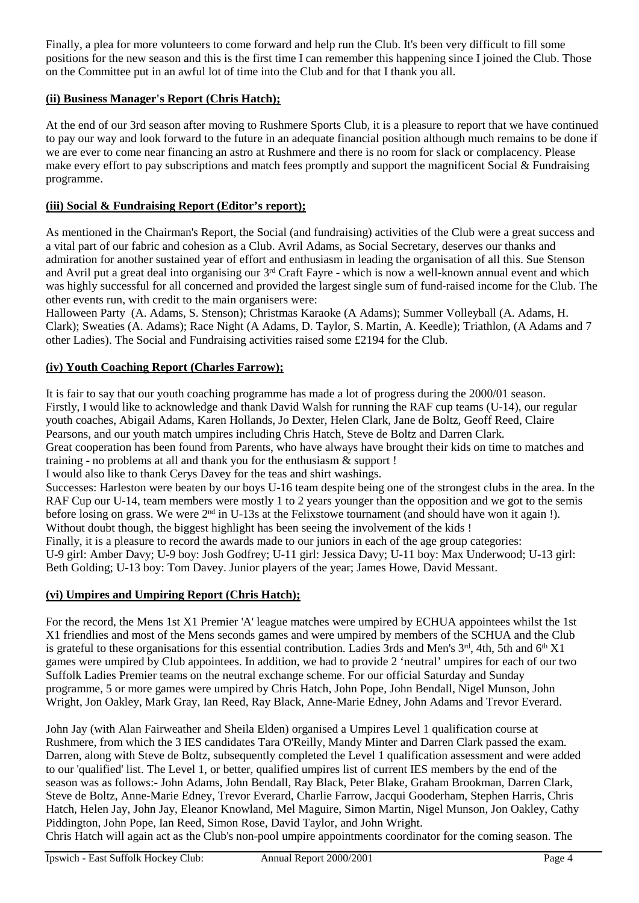Finally, a plea for more volunteers to come forward and help run the Club. It's been very difficult to fill some positions for the new season and this is the first time I can remember this happening since I joined the Club. Those on the Committee put in an awful lot of time into the Club and for that I thank you all.

## **(ii) Business Manager's Report (Chris Hatch);**

At the end of our 3rd season after moving to Rushmere Sports Club, it is a pleasure to report that we have continued to pay our way and look forward to the future in an adequate financial position although much remains to be done if we are ever to come near financing an astro at Rushmere and there is no room for slack or complacency. Please make every effort to pay subscriptions and match fees promptly and support the magnificent Social & Fundraising programme.

## **(iii) Social & Fundraising Report (Editor's report);**

As mentioned in the Chairman's Report, the Social (and fundraising) activities of the Club were a great success and a vital part of our fabric and cohesion as a Club. Avril Adams, as Social Secretary, deserves our thanks and admiration for another sustained year of effort and enthusiasm in leading the organisation of all this. Sue Stenson and Avril put a great deal into organising our 3rd Craft Fayre - which is now a well-known annual event and which was highly successful for all concerned and provided the largest single sum of fund-raised income for the Club. The other events run, with credit to the main organisers were:

Halloween Party (A. Adams, S. Stenson); Christmas Karaoke (A Adams); Summer Volleyball (A. Adams, H. Clark); Sweaties (A. Adams); Race Night (A Adams, D. Taylor, S. Martin, A. Keedle); Triathlon, (A Adams and 7 other Ladies). The Social and Fundraising activities raised some £2194 for the Club.

## **(iv) Youth Coaching Report (Charles Farrow);**

It is fair to say that our youth coaching programme has made a lot of progress during the 2000/01 season. Firstly, I would like to acknowledge and thank David Walsh for running the RAF cup teams (U-14), our regular youth coaches, Abigail Adams, Karen Hollands, Jo Dexter, Helen Clark, Jane de Boltz, Geoff Reed, Claire Pearsons, and our youth match umpires including Chris Hatch, Steve de Boltz and Darren Clark. Great cooperation has been found from Parents, who have always have brought their kids on time to matches and training - no problems at all and thank you for the enthusiasm & support ! I would also like to thank Cerys Davey for the teas and shirt washings.

Successes: Harleston were beaten by our boys U-16 team despite being one of the strongest clubs in the area. In the RAF Cup our U-14, team members were mostly 1 to 2 years younger than the opposition and we got to the semis

before losing on grass. We were 2<sup>nd</sup> in U-13s at the Felixstowe tournament (and should have won it again !).

Without doubt though, the biggest highlight has been seeing the involvement of the kids !

Finally, it is a pleasure to record the awards made to our juniors in each of the age group categories: U-9 girl: Amber Davy; U-9 boy: Josh Godfrey; U-11 girl: Jessica Davy; U-11 boy: Max Underwood; U-13 girl: Beth Golding; U-13 boy: Tom Davey. Junior players of the year; James Howe, David Messant.

## **(vi) Umpires and Umpiring Report (Chris Hatch);**

For the record, the Mens 1st X1 Premier 'A' league matches were umpired by ECHUA appointees whilst the 1st X1 friendlies and most of the Mens seconds games and were umpired by members of the SCHUA and the Club is grateful to these organisations for this essential contribution. Ladies 3rds and Men's  $3^{rd}$ , 4th, 5th and  $6^{th}$  X1 games were umpired by Club appointees. In addition, we had to provide 2 'neutral' umpires for each of our two Suffolk Ladies Premier teams on the neutral exchange scheme. For our official Saturday and Sunday programme, 5 or more games were umpired by Chris Hatch, John Pope, John Bendall, Nigel Munson, John Wright, Jon Oakley, Mark Gray, Ian Reed, Ray Black, Anne-Marie Edney, John Adams and Trevor Everard.

John Jay (with Alan Fairweather and Sheila Elden) organised a Umpires Level 1 qualification course at Rushmere, from which the 3 IES candidates Tara O'Reilly, Mandy Minter and Darren Clark passed the exam. Darren, along with Steve de Boltz, subsequently completed the Level 1 qualification assessment and were added to our 'qualified' list. The Level 1, or better, qualified umpires list of current IES members by the end of the season was as follows:- John Adams, John Bendall, Ray Black, Peter Blake, Graham Brookman, Darren Clark, Steve de Boltz, Anne-Marie Edney, Trevor Everard, Charlie Farrow, Jacqui Gooderham, Stephen Harris, Chris Hatch, Helen Jay, John Jay, Eleanor Knowland, Mel Maguire, Simon Martin, Nigel Munson, Jon Oakley, Cathy Piddington, John Pope, Ian Reed, Simon Rose, David Taylor, and John Wright.

Chris Hatch will again act as the Club's non-pool umpire appointments coordinator for the coming season. The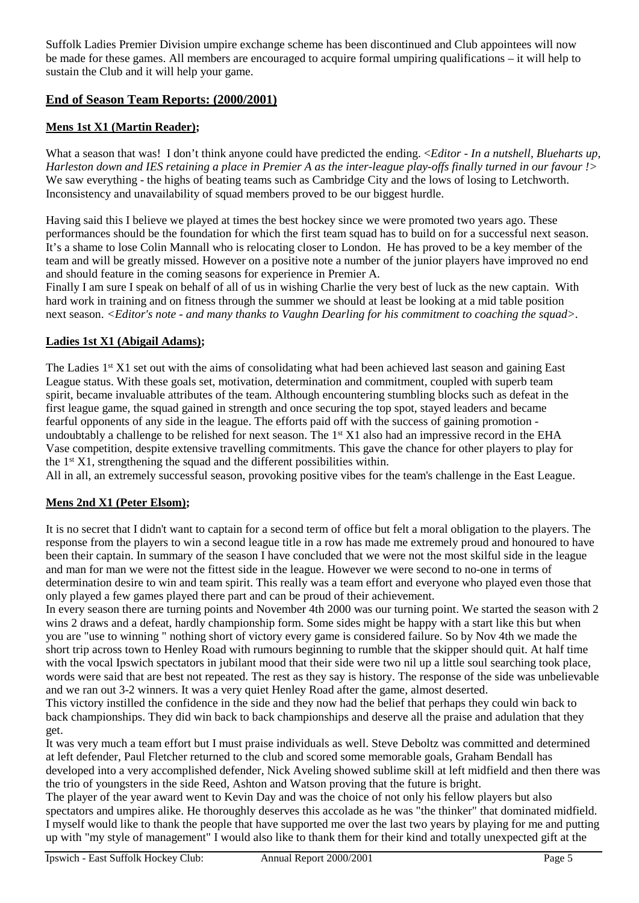Suffolk Ladies Premier Division umpire exchange scheme has been discontinued and Club appointees will now be made for these games. All members are encouraged to acquire formal umpiring qualifications – it will help to sustain the Club and it will help your game.

## **End of Season Team Reports: (2000/2001)**

### **Mens 1st X1 (Martin Reader);**

What a season that was! I don't think anyone could have predicted the ending. <*Editor - In a nutshell, Blueharts up, Harleston down and IES retaining a place in Premier A as the inter-league play-offs finally turned in our favour !>* We saw everything - the highs of beating teams such as Cambridge City and the lows of losing to Letchworth. Inconsistency and unavailability of squad members proved to be our biggest hurdle.

Having said this I believe we played at times the best hockey since we were promoted two years ago. These performances should be the foundation for which the first team squad has to build on for a successful next season. It's a shame to lose Colin Mannall who is relocating closer to London. He has proved to be a key member of the team and will be greatly missed. However on a positive note a number of the junior players have improved no end and should feature in the coming seasons for experience in Premier A.

Finally I am sure I speak on behalf of all of us in wishing Charlie the very best of luck as the new captain. With hard work in training and on fitness through the summer we should at least be looking at a mid table position next season. *<Editor's note - and many thanks to Vaughn Dearling for his commitment to coaching the squad>.*

#### **Ladies 1st X1 (Abigail Adams);**

The Ladies 1<sup>st</sup> X1 set out with the aims of consolidating what had been achieved last season and gaining East League status. With these goals set, motivation, determination and commitment, coupled with superb team spirit, became invaluable attributes of the team. Although encountering stumbling blocks such as defeat in the first league game, the squad gained in strength and once securing the top spot, stayed leaders and became fearful opponents of any side in the league. The efforts paid off with the success of gaining promotion undoubtably a challenge to be relished for next season. The  $1<sup>st</sup> X1$  also had an impressive record in the EHA Vase competition, despite extensive travelling commitments. This gave the chance for other players to play for the  $1<sup>st</sup> X1$ , strengthening the squad and the different possibilities within.

All in all, an extremely successful season, provoking positive vibes for the team's challenge in the East League.

#### **Mens 2nd X1 (Peter Elsom);**

It is no secret that I didn't want to captain for a second term of office but felt a moral obligation to the players. The response from the players to win a second league title in a row has made me extremely proud and honoured to have been their captain. In summary of the season I have concluded that we were not the most skilful side in the league and man for man we were not the fittest side in the league. However we were second to no-one in terms of determination desire to win and team spirit. This really was a team effort and everyone who played even those that only played a few games played there part and can be proud of their achievement.

In every season there are turning points and November 4th 2000 was our turning point. We started the season with 2 wins 2 draws and a defeat, hardly championship form. Some sides might be happy with a start like this but when you are "use to winning " nothing short of victory every game is considered failure. So by Nov 4th we made the short trip across town to Henley Road with rumours beginning to rumble that the skipper should quit. At half time with the vocal Ipswich spectators in jubilant mood that their side were two nil up a little soul searching took place, words were said that are best not repeated. The rest as they say is history. The response of the side was unbelievable and we ran out 3-2 winners. It was a very quiet Henley Road after the game, almost deserted.

This victory instilled the confidence in the side and they now had the belief that perhaps they could win back to back championships. They did win back to back championships and deserve all the praise and adulation that they get.

It was very much a team effort but I must praise individuals as well. Steve Deboltz was committed and determined at left defender, Paul Fletcher returned to the club and scored some memorable goals, Graham Bendall has developed into a very accomplished defender, Nick Aveling showed sublime skill at left midfield and then there was the trio of youngsters in the side Reed, Ashton and Watson proving that the future is bright.

The player of the year award went to Kevin Day and was the choice of not only his fellow players but also spectators and umpires alike. He thoroughly deserves this accolade as he was "the thinker" that dominated midfield. I myself would like to thank the people that have supported me over the last two years by playing for me and putting up with "my style of management" I would also like to thank them for their kind and totally unexpected gift at the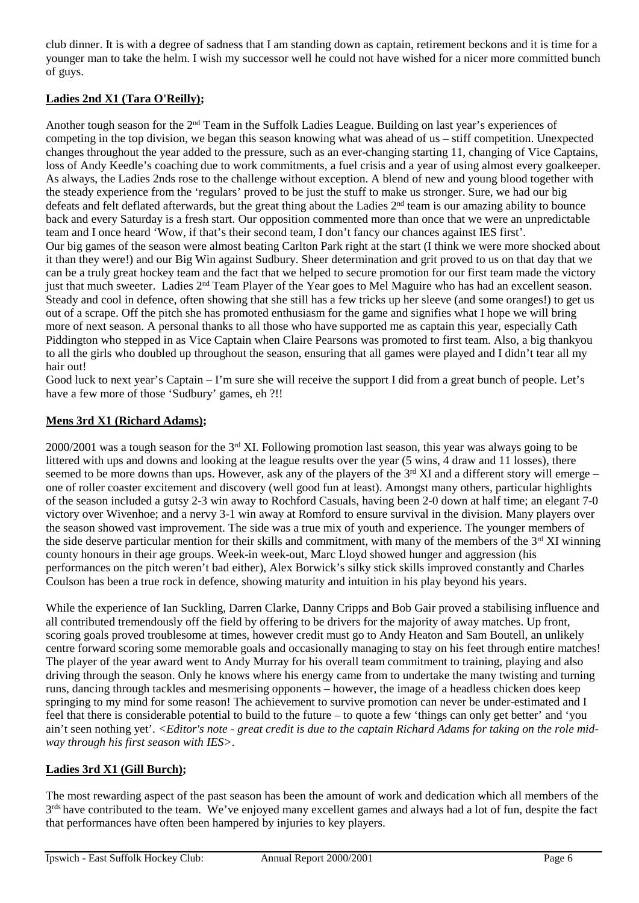club dinner. It is with a degree of sadness that I am standing down as captain, retirement beckons and it is time for a younger man to take the helm. I wish my successor well he could not have wished for a nicer more committed bunch of guys.

## **Ladies 2nd X1 (Tara O'Reilly);**

Another tough season for the 2<sup>nd</sup> Team in the Suffolk Ladies League. Building on last year's experiences of competing in the top division, we began this season knowing what was ahead of us – stiff competition. Unexpected changes throughout the year added to the pressure, such as an ever-changing starting 11, changing of Vice Captains, loss of Andy Keedle's coaching due to work commitments, a fuel crisis and a year of using almost every goalkeeper. As always, the Ladies 2nds rose to the challenge without exception. A blend of new and young blood together with the steady experience from the 'regulars' proved to be just the stuff to make us stronger. Sure, we had our big defeats and felt deflated afterwards, but the great thing about the Ladies 2<sup>nd</sup> team is our amazing ability to bounce back and every Saturday is a fresh start. Our opposition commented more than once that we were an unpredictable team and I once heard 'Wow, if that's their second team, I don't fancy our chances against IES first'. Our big games of the season were almost beating Carlton Park right at the start (I think we were more shocked about it than they were!) and our Big Win against Sudbury. Sheer determination and grit proved to us on that day that we can be a truly great hockey team and the fact that we helped to secure promotion for our first team made the victory just that much sweeter. Ladies 2nd Team Player of the Year goes to Mel Maguire who has had an excellent season. Steady and cool in defence, often showing that she still has a few tricks up her sleeve (and some oranges!) to get us out of a scrape. Off the pitch she has promoted enthusiasm for the game and signifies what I hope we will bring more of next season. A personal thanks to all those who have supported me as captain this year, especially Cath Piddington who stepped in as Vice Captain when Claire Pearsons was promoted to first team. Also, a big thankyou to all the girls who doubled up throughout the season, ensuring that all games were played and I didn't tear all my hair out!

Good luck to next year's Captain – I'm sure she will receive the support I did from a great bunch of people. Let's have a few more of those 'Sudbury' games, eh ?!!

## **Mens 3rd X1 (Richard Adams);**

2000/2001 was a tough season for the 3rd XI. Following promotion last season, this year was always going to be littered with ups and downs and looking at the league results over the year (5 wins, 4 draw and 11 losses), there seemed to be more downs than ups. However, ask any of the players of the  $3<sup>rd</sup> XI$  and a different story will emerge – one of roller coaster excitement and discovery (well good fun at least). Amongst many others, particular highlights of the season included a gutsy 2-3 win away to Rochford Casuals, having been 2-0 down at half time; an elegant 7-0 victory over Wivenhoe; and a nervy 3-1 win away at Romford to ensure survival in the division. Many players over the season showed vast improvement. The side was a true mix of youth and experience. The younger members of the side deserve particular mention for their skills and commitment, with many of the members of the 3<sup>rd</sup> XI winning county honours in their age groups. Week-in week-out, Marc Lloyd showed hunger and aggression (his performances on the pitch weren't bad either), Alex Borwick's silky stick skills improved constantly and Charles Coulson has been a true rock in defence, showing maturity and intuition in his play beyond his years.

While the experience of Ian Suckling, Darren Clarke, Danny Cripps and Bob Gair proved a stabilising influence and all contributed tremendously off the field by offering to be drivers for the majority of away matches. Up front, scoring goals proved troublesome at times, however credit must go to Andy Heaton and Sam Boutell, an unlikely centre forward scoring some memorable goals and occasionally managing to stay on his feet through entire matches! The player of the year award went to Andy Murray for his overall team commitment to training, playing and also driving through the season. Only he knows where his energy came from to undertake the many twisting and turning runs, dancing through tackles and mesmerising opponents – however, the image of a headless chicken does keep springing to my mind for some reason! The achievement to survive promotion can never be under-estimated and I feel that there is considerable potential to build to the future – to quote a few 'things can only get better' and 'you ain't seen nothing yet'. *<Editor's note - great credit is due to the captain Richard Adams for taking on the role midway through his first season with IES>*.

## **Ladies 3rd X1 (Gill Burch);**

The most rewarding aspect of the past season has been the amount of work and dedication which all members of the 3rds have contributed to the team. We've enjoyed many excellent games and always had a lot of fun, despite the fact that performances have often been hampered by injuries to key players.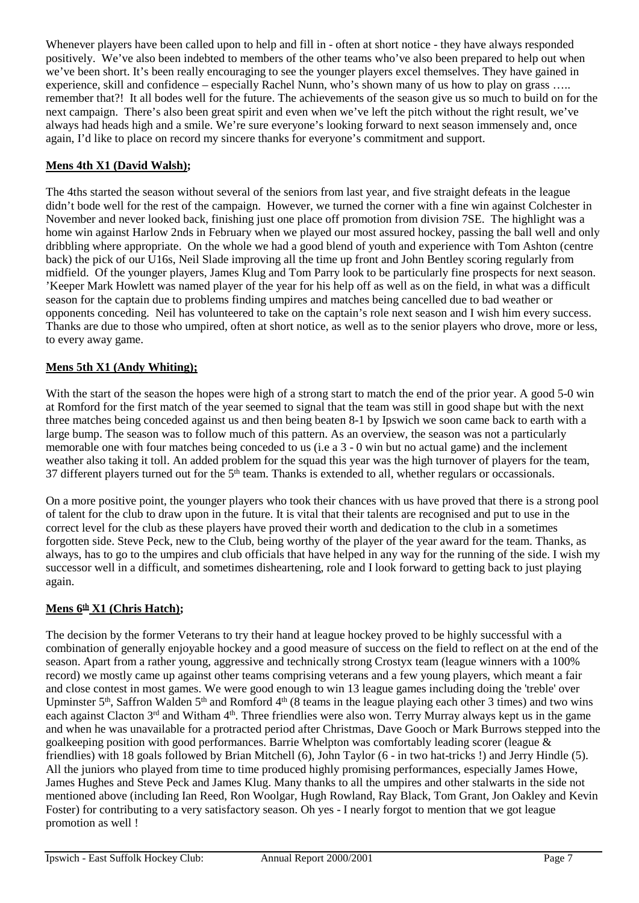Whenever players have been called upon to help and fill in - often at short notice - they have always responded positively. We've also been indebted to members of the other teams who've also been prepared to help out when we've been short. It's been really encouraging to see the younger players excel themselves. They have gained in experience, skill and confidence – especially Rachel Nunn, who's shown many of us how to play on grass ..... remember that?! It all bodes well for the future. The achievements of the season give us so much to build on for the next campaign. There's also been great spirit and even when we've left the pitch without the right result, we've always had heads high and a smile. We're sure everyone's looking forward to next season immensely and, once again, I'd like to place on record my sincere thanks for everyone's commitment and support.

## **Mens 4th X1 (David Walsh);**

The 4ths started the season without several of the seniors from last year, and five straight defeats in the league didn't bode well for the rest of the campaign. However, we turned the corner with a fine win against Colchester in November and never looked back, finishing just one place off promotion from division 7SE. The highlight was a home win against Harlow 2nds in February when we played our most assured hockey, passing the ball well and only dribbling where appropriate. On the whole we had a good blend of youth and experience with Tom Ashton (centre back) the pick of our U16s, Neil Slade improving all the time up front and John Bentley scoring regularly from midfield. Of the younger players, James Klug and Tom Parry look to be particularly fine prospects for next season. 'Keeper Mark Howlett was named player of the year for his help off as well as on the field, in what was a difficult season for the captain due to problems finding umpires and matches being cancelled due to bad weather or opponents conceding. Neil has volunteered to take on the captain's role next season and I wish him every success. Thanks are due to those who umpired, often at short notice, as well as to the senior players who drove, more or less, to every away game.

## **Mens 5th X1 (Andy Whiting);**

With the start of the season the hopes were high of a strong start to match the end of the prior year. A good 5-0 win at Romford for the first match of the year seemed to signal that the team was still in good shape but with the next three matches being conceded against us and then being beaten 8-1 by Ipswich we soon came back to earth with a large bump. The season was to follow much of this pattern. As an overview, the season was not a particularly memorable one with four matches being conceded to us (i.e a 3 - 0 win but no actual game) and the inclement weather also taking it toll. An added problem for the squad this year was the high turnover of players for the team, 37 different players turned out for the 5<sup>th</sup> team. Thanks is extended to all, whether regulars or occassionals.

On a more positive point, the younger players who took their chances with us have proved that there is a strong pool of talent for the club to draw upon in the future. It is vital that their talents are recognised and put to use in the correct level for the club as these players have proved their worth and dedication to the club in a sometimes forgotten side. Steve Peck, new to the Club, being worthy of the player of the year award for the team. Thanks, as always, has to go to the umpires and club officials that have helped in any way for the running of the side. I wish my successor well in a difficult, and sometimes disheartening, role and I look forward to getting back to just playing again.

## **Mens 6th X1 (Chris Hatch);**

The decision by the former Veterans to try their hand at league hockey proved to be highly successful with a combination of generally enjoyable hockey and a good measure of success on the field to reflect on at the end of the season. Apart from a rather young, aggressive and technically strong Crostyx team (league winners with a 100% record) we mostly came up against other teams comprising veterans and a few young players, which meant a fair and close contest in most games. We were good enough to win 13 league games including doing the 'treble' over Upminster 5<sup>th</sup>, Saffron Walden 5<sup>th</sup> and Romford 4<sup>th</sup> (8 teams in the league playing each other 3 times) and two wins each against Clacton 3<sup>rd</sup> and Witham 4<sup>th</sup>. Three friendlies were also won. Terry Murray always kept us in the game and when he was unavailable for a protracted period after Christmas, Dave Gooch or Mark Burrows stepped into the goalkeeping position with good performances. Barrie Whelpton was comfortably leading scorer (league & friendlies) with 18 goals followed by Brian Mitchell (6), John Taylor (6 - in two hat-tricks !) and Jerry Hindle (5). All the juniors who played from time to time produced highly promising performances, especially James Howe, James Hughes and Steve Peck and James Klug. Many thanks to all the umpires and other stalwarts in the side not mentioned above (including Ian Reed, Ron Woolgar, Hugh Rowland, Ray Black, Tom Grant, Jon Oakley and Kevin Foster) for contributing to a very satisfactory season. Oh yes - I nearly forgot to mention that we got league promotion as well !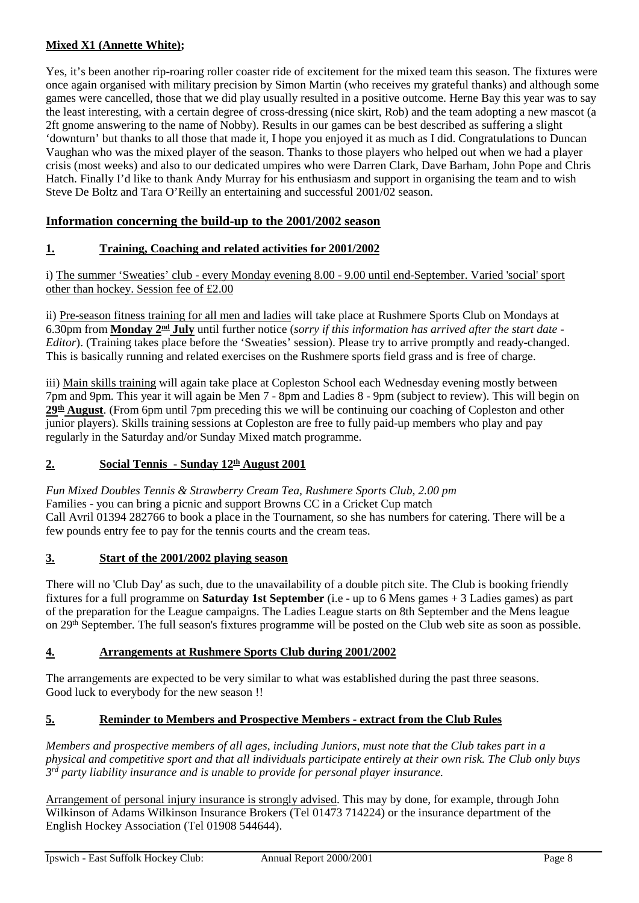## **Mixed X1 (Annette White);**

Yes, it's been another rip-roaring roller coaster ride of excitement for the mixed team this season. The fixtures were once again organised with military precision by Simon Martin (who receives my grateful thanks) and although some games were cancelled, those that we did play usually resulted in a positive outcome. Herne Bay this year was to say the least interesting, with a certain degree of cross-dressing (nice skirt, Rob) and the team adopting a new mascot (a 2ft gnome answering to the name of Nobby). Results in our games can be best described as suffering a slight 'downturn' but thanks to all those that made it, I hope you enjoyed it as much as I did. Congratulations to Duncan Vaughan who was the mixed player of the season. Thanks to those players who helped out when we had a player crisis (most weeks) and also to our dedicated umpires who were Darren Clark, Dave Barham, John Pope and Chris Hatch. Finally I'd like to thank Andy Murray for his enthusiasm and support in organising the team and to wish Steve De Boltz and Tara O'Reilly an entertaining and successful 2001/02 season.

## **Information concerning the build-up to the 2001/2002 season**

## **1. Training, Coaching and related activities for 2001/2002**

i) The summer 'Sweaties' club - every Monday evening 8.00 - 9.00 until end-September. Varied 'social' sport other than hockey. Session fee of £2.00

ii) Pre-season fitness training for all men and ladies will take place at Rushmere Sports Club on Mondays at 6.30pm from **Monday 2nd July** until further notice (*sorry if this information has arrived after the start date - Editor*). (Training takes place before the 'Sweaties' session). Please try to arrive promptly and ready-changed. This is basically running and related exercises on the Rushmere sports field grass and is free of charge.

iii) Main skills training will again take place at Copleston School each Wednesday evening mostly between 7pm and 9pm. This year it will again be Men 7 - 8pm and Ladies 8 - 9pm (subject to review). This will begin on **29th August**. (From 6pm until 7pm preceding this we will be continuing our coaching of Copleston and other junior players). Skills training sessions at Copleston are free to fully paid-up members who play and pay regularly in the Saturday and/or Sunday Mixed match programme.

## 2. **Social Tennis - Sunday 12<sup>th</sup> August 2001**

*Fun Mixed Doubles Tennis & Strawberry Cream Tea, Rushmere Sports Club, 2.00 pm* Families - you can bring a picnic and support Browns CC in a Cricket Cup match Call Avril 01394 282766 to book a place in the Tournament, so she has numbers for catering. There will be a few pounds entry fee to pay for the tennis courts and the cream teas.

## **3. Start of the 2001/2002 playing season**

There will no 'Club Day' as such, due to the unavailability of a double pitch site. The Club is booking friendly fixtures for a full programme on **Saturday 1st September** (i.e - up to 6 Mens games + 3 Ladies games) as part of the preparation for the League campaigns. The Ladies League starts on 8th September and the Mens league on 29th September. The full season's fixtures programme will be posted on the Club web site as soon as possible.

## **4. Arrangements at Rushmere Sports Club during 2001/2002**

The arrangements are expected to be very similar to what was established during the past three seasons. Good luck to everybody for the new season !!

## **5. Reminder to Members and Prospective Members - extract from the Club Rules**

*Members and prospective members of all ages, including Juniors, must note that the Club takes part in a physical and competitive sport and that all individuals participate entirely at their own risk. The Club only buys 3rd party liability insurance and is unable to provide for personal player insurance.* 

Arrangement of personal injury insurance is strongly advised. This may by done, for example, through John Wilkinson of Adams Wilkinson Insurance Brokers (Tel 01473 714224) or the insurance department of the English Hockey Association (Tel 01908 544644).